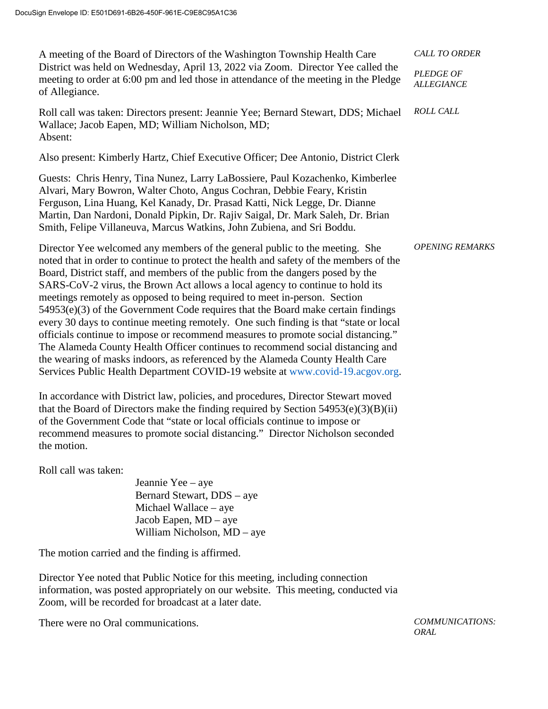| A meeting of the Board of Directors of the Washington Township Health Care<br>District was held on Wednesday, April 13, 2022 via Zoom. Director Yee called the<br>meeting to order at 6:00 pm and led those in attendance of the meeting in the Pledge<br>of Allegiance.                                                                                                                                                                                                                                                                                                                                                                                                                                                                                                                                                                                                                                                                     | <b>CALL TO ORDER</b>                  |
|----------------------------------------------------------------------------------------------------------------------------------------------------------------------------------------------------------------------------------------------------------------------------------------------------------------------------------------------------------------------------------------------------------------------------------------------------------------------------------------------------------------------------------------------------------------------------------------------------------------------------------------------------------------------------------------------------------------------------------------------------------------------------------------------------------------------------------------------------------------------------------------------------------------------------------------------|---------------------------------------|
|                                                                                                                                                                                                                                                                                                                                                                                                                                                                                                                                                                                                                                                                                                                                                                                                                                                                                                                                              | <b>PLEDGE OF</b><br><b>ALLEGIANCE</b> |
| Roll call was taken: Directors present: Jeannie Yee; Bernard Stewart, DDS; Michael<br>Wallace; Jacob Eapen, MD; William Nicholson, MD;<br>Absent:                                                                                                                                                                                                                                                                                                                                                                                                                                                                                                                                                                                                                                                                                                                                                                                            | <b>ROLL CALL</b>                      |
| Also present: Kimberly Hartz, Chief Executive Officer; Dee Antonio, District Clerk                                                                                                                                                                                                                                                                                                                                                                                                                                                                                                                                                                                                                                                                                                                                                                                                                                                           |                                       |
| Guests: Chris Henry, Tina Nunez, Larry LaBossiere, Paul Kozachenko, Kimberlee<br>Alvari, Mary Bowron, Walter Choto, Angus Cochran, Debbie Feary, Kristin<br>Ferguson, Lina Huang, Kel Kanady, Dr. Prasad Katti, Nick Legge, Dr. Dianne<br>Martin, Dan Nardoni, Donald Pipkin, Dr. Rajiv Saigal, Dr. Mark Saleh, Dr. Brian<br>Smith, Felipe Villaneuva, Marcus Watkins, John Zubiena, and Sri Boddu.                                                                                                                                                                                                                                                                                                                                                                                                                                                                                                                                          |                                       |
| Director Yee welcomed any members of the general public to the meeting. She<br>noted that in order to continue to protect the health and safety of the members of the<br>Board, District staff, and members of the public from the dangers posed by the<br>SARS-CoV-2 virus, the Brown Act allows a local agency to continue to hold its<br>meetings remotely as opposed to being required to meet in-person. Section<br>$54953(e)(3)$ of the Government Code requires that the Board make certain findings<br>every 30 days to continue meeting remotely. One such finding is that "state or local<br>officials continue to impose or recommend measures to promote social distancing."<br>The Alameda County Health Officer continues to recommend social distancing and<br>the wearing of masks indoors, as referenced by the Alameda County Health Care<br>Services Public Health Department COVID-19 website at www.covid-19.acgov.org. | <b>OPENING REMARKS</b>                |
| In accordance with District law, policies, and procedures, Director Stewart moved<br>that the Board of Directors make the finding required by Section $54953(e)(3)(B)(ii)$<br>of the Government Code that "state or local officials continue to impose or<br>recommend measures to promote social distancing." Director Nicholson seconded<br>the motion.                                                                                                                                                                                                                                                                                                                                                                                                                                                                                                                                                                                    |                                       |

Roll call was taken:

Jeannie Yee – aye Bernard Stewart, DDS – aye Michael Wallace – aye Jacob Eapen, MD – aye William Nicholson, MD – aye

The motion carried and the finding is affirmed.

Director Yee noted that Public Notice for this meeting, including connection information, was posted appropriately on our website. This meeting, conducted via Zoom, will be recorded for broadcast at a later date.

There were no Oral communications. *COMMUNICATIONS:* 

*ORAL*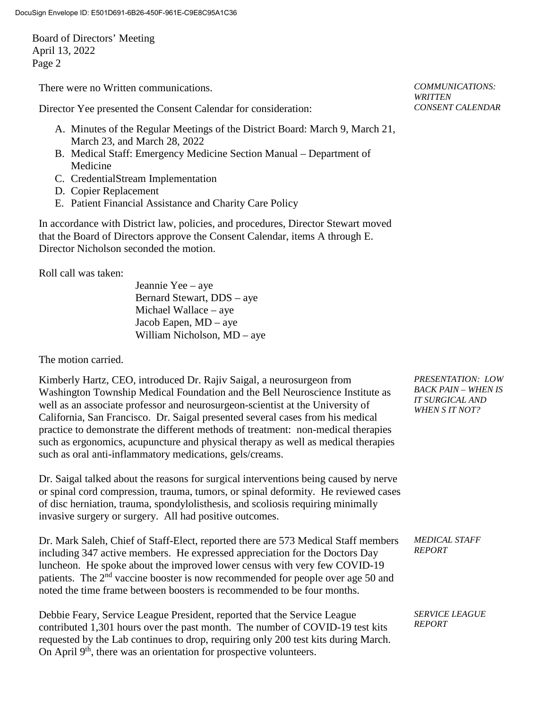There were no Written communications. *COMMUNICATIONS:*

Director Yee presented the Consent Calendar for consideration:

- A. Minutes of the Regular Meetings of the District Board: March 9, March 21, March 23, and March 28, 2022
- B. Medical Staff: Emergency Medicine Section Manual Department of Medicine
- C. CredentialStream Implementation
- D. Copier Replacement
- E. Patient Financial Assistance and Charity Care Policy

In accordance with District law, policies, and procedures, Director Stewart moved that the Board of Directors approve the Consent Calendar, items A through E. Director Nicholson seconded the motion.

Roll call was taken:

Jeannie Yee – aye Bernard Stewart, DDS – aye Michael Wallace – aye Jacob Eapen, MD – aye William Nicholson, MD – aye

The motion carried.

Kimberly Hartz, CEO, introduced Dr. Rajiv Saigal, a neurosurgeon from Washington Township Medical Foundation and the Bell Neuroscience Institute as well as an associate professor and neurosurgeon-scientist at the University of California, San Francisco. Dr. Saigal presented several cases from his medical practice to demonstrate the different methods of treatment: non-medical therapies such as ergonomics, acupuncture and physical therapy as well as medical therapies such as oral anti-inflammatory medications, gels/creams.

Dr. Saigal talked about the reasons for surgical interventions being caused by nerve or spinal cord compression, trauma, tumors, or spinal deformity. He reviewed cases of disc herniation, trauma, spondylolisthesis, and scoliosis requiring minimally invasive surgery or surgery. All had positive outcomes.

Dr. Mark Saleh, Chief of Staff-Elect, reported there are 573 Medical Staff members including 347 active members. He expressed appreciation for the Doctors Day luncheon. He spoke about the improved lower census with very few COVID-19 patients. The  $2<sup>nd</sup>$  vaccine booster is now recommended for people over age 50 and noted the time frame between boosters is recommended to be four months.

Debbie Feary, Service League President, reported that the Service League contributed 1,301 hours over the past month. The number of COVID-19 test kits requested by the Lab continues to drop, requiring only 200 test kits during March. On April 9<sup>th</sup>, there was an orientation for prospective volunteers.

*WRITTEN CONSENT CALENDAR*

*PRESENTATION: LOW BACK PAIN – WHEN IS IT SURGICAL AND WHEN S IT NOT?*

*MEDICAL STAFF REPORT*

*SERVICE LEAGUE REPORT*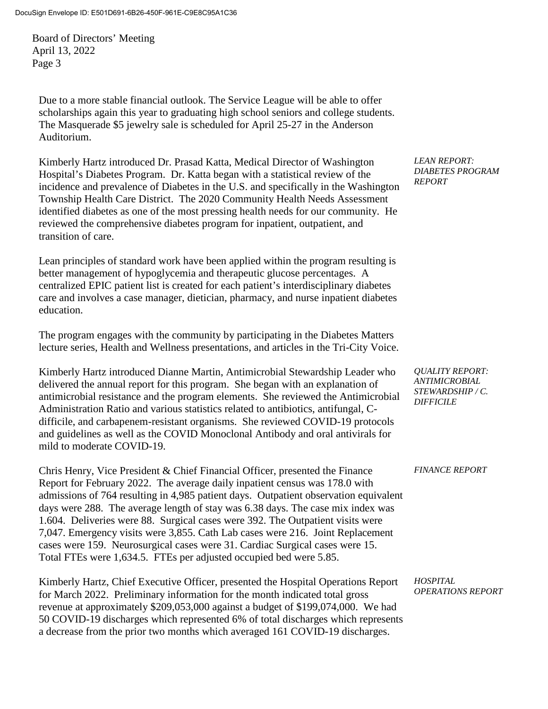Due to a more stable financial outlook. The Service League will be able to offer scholarships again this year to graduating high school seniors and college students. The Masquerade \$5 jewelry sale is scheduled for April 25-27 in the Anderson Auditorium.

Kimberly Hartz introduced Dr. Prasad Katta, Medical Director of Washington Hospital's Diabetes Program. Dr. Katta began with a statistical review of the incidence and prevalence of Diabetes in the U.S. and specifically in the Washington Township Health Care District. The 2020 Community Health Needs Assessment identified diabetes as one of the most pressing health needs for our community. He reviewed the comprehensive diabetes program for inpatient, outpatient, and transition of care.

Lean principles of standard work have been applied within the program resulting is better management of hypoglycemia and therapeutic glucose percentages. A centralized EPIC patient list is created for each patient's interdisciplinary diabetes care and involves a case manager, dietician, pharmacy, and nurse inpatient diabetes education.

The program engages with the community by participating in the Diabetes Matters lecture series, Health and Wellness presentations, and articles in the Tri-City Voice.

Kimberly Hartz introduced Dianne Martin, Antimicrobial Stewardship Leader who delivered the annual report for this program. She began with an explanation of antimicrobial resistance and the program elements. She reviewed the Antimicrobial Administration Ratio and various statistics related to antibiotics, antifungal, Cdifficile, and carbapenem-resistant organisms. She reviewed COVID-19 protocols and guidelines as well as the COVID Monoclonal Antibody and oral antivirals for mild to moderate COVID-19.

Chris Henry, Vice President & Chief Financial Officer, presented the Finance Report for February 2022. The average daily inpatient census was 178.0 with admissions of 764 resulting in 4,985 patient days. Outpatient observation equivalent days were 288. The average length of stay was 6.38 days. The case mix index was 1.604. Deliveries were 88. Surgical cases were 392. The Outpatient visits were 7,047. Emergency visits were 3,855. Cath Lab cases were 216. Joint Replacement cases were 159. Neurosurgical cases were 31. Cardiac Surgical cases were 15. Total FTEs were 1,634.5. FTEs per adjusted occupied bed were 5.85.

Kimberly Hartz, Chief Executive Officer, presented the Hospital Operations Report for March 2022. Preliminary information for the month indicated total gross revenue at approximately \$209,053,000 against a budget of \$199,074,000. We had 50 COVID-19 discharges which represented 6% of total discharges which represents a decrease from the prior two months which averaged 161 COVID-19 discharges.

*LEAN REPORT: DIABETES PROGRAM REPORT*

*QUALITY REPORT: ANTIMICROBIAL STEWARDSHIP / C. DIFFICILE*

*FINANCE REPORT*

*HOSPITAL OPERATIONS REPORT*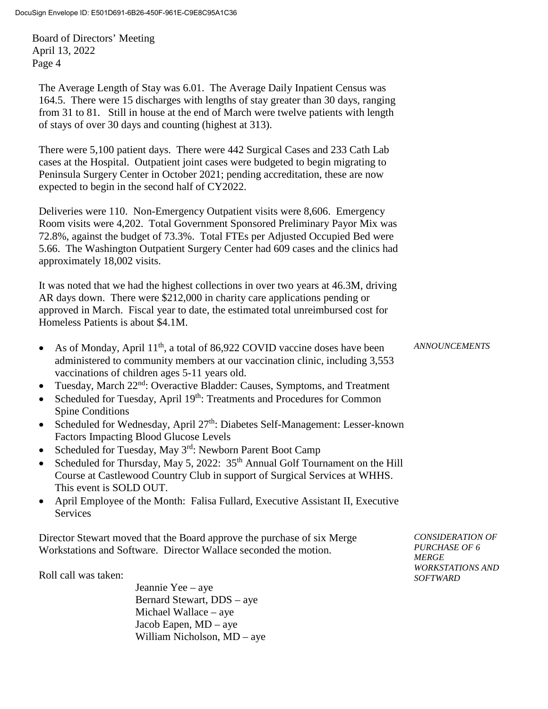The Average Length of Stay was 6.01. The Average Daily Inpatient Census was 164.5. There were 15 discharges with lengths of stay greater than 30 days, ranging from 31 to 81. Still in house at the end of March were twelve patients with length of stays of over 30 days and counting (highest at 313).

There were 5,100 patient days. There were 442 Surgical Cases and 233 Cath Lab cases at the Hospital. Outpatient joint cases were budgeted to begin migrating to Peninsula Surgery Center in October 2021; pending accreditation, these are now expected to begin in the second half of CY2022.

Deliveries were 110. Non-Emergency Outpatient visits were 8,606. Emergency Room visits were 4,202. Total Government Sponsored Preliminary Payor Mix was 72.8%, against the budget of 73.3%. Total FTEs per Adjusted Occupied Bed were 5.66. The Washington Outpatient Surgery Center had 609 cases and the clinics had approximately 18,002 visits.

It was noted that we had the highest collections in over two years at 46.3M, driving AR days down. There were \$212,000 in charity care applications pending or approved in March. Fiscal year to date, the estimated total unreimbursed cost for Homeless Patients is about \$4.1M.

- As of Monday, April  $11<sup>th</sup>$ , a total of 86,922 COVID vaccine doses have been administered to community members at our vaccination clinic, including 3,553 vaccinations of children ages 5-11 years old. *ANNOUNCEMENTS*
- Tuesday, March  $22<sup>nd</sup>$ : Overactive Bladder: Causes, Symptoms, and Treatment
- Scheduled for Tuesday, April 19<sup>th</sup>: Treatments and Procedures for Common Spine Conditions
- Scheduled for Wednesday, April  $27<sup>th</sup>$ : Diabetes Self-Management: Lesser-known Factors Impacting Blood Glucose Levels
- Scheduled for Tuesday, May  $3<sup>rd</sup>$ : Newborn Parent Boot Camp
- Scheduled for Thursday, May 5, 2022:  $35<sup>th</sup>$  Annual Golf Tournament on the Hill Course at Castlewood Country Club in support of Surgical Services at WHHS. This event is SOLD OUT.
- April Employee of the Month: Falisa Fullard, Executive Assistant II, Executive **Services**

Director Stewart moved that the Board approve the purchase of six Merge Workstations and Software. Director Wallace seconded the motion.

Roll call was taken:

Jeannie Yee – aye Bernard Stewart, DDS – aye Michael Wallace – aye Jacob Eapen, MD – aye William Nicholson, MD – aye

*CONSIDERATION OF PURCHASE OF 6 MERGE WORKSTATIONS AND SOFTWARD*